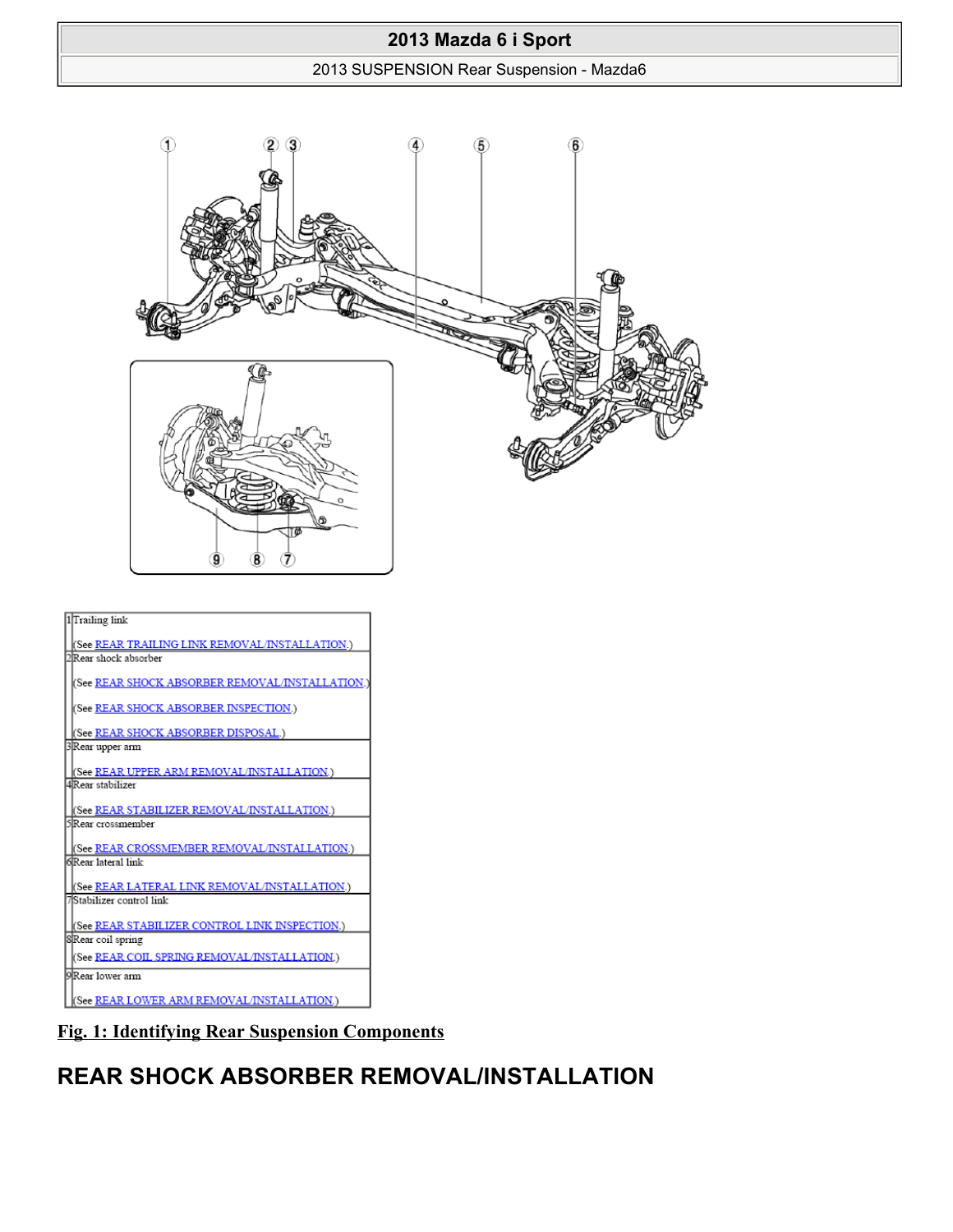#### 2013 SUSPENSION Rear Suspension - Mazda6



**Fig. 1: Identifying Rear Suspension Components**

# **REAR SHOCK ABSORBER REMOVAL/INSTALLATION**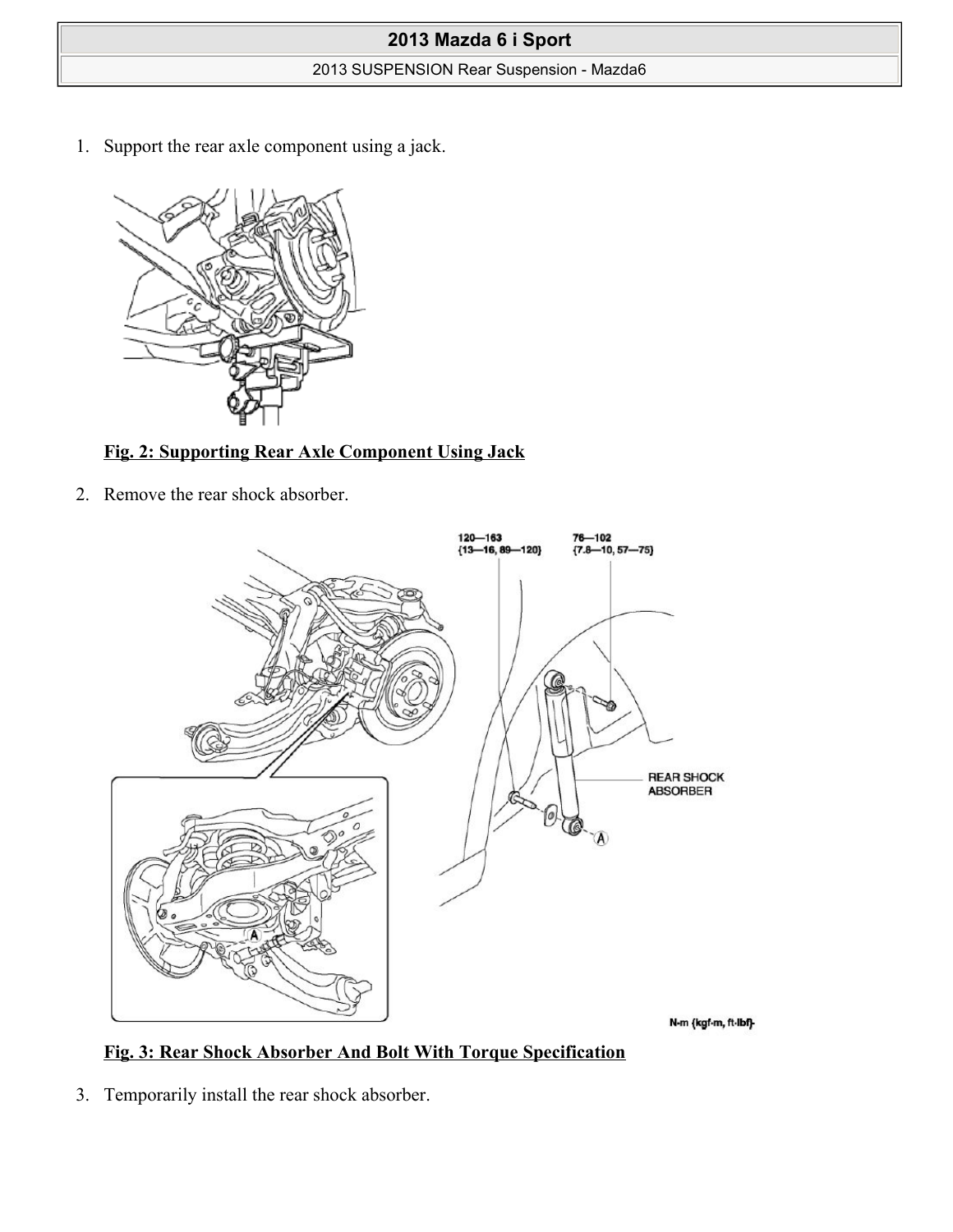### 2013 SUSPENSION Rear Suspension - Mazda6

1. Support the rear axle component using a jack.



## **Fig. 2: Supporting Rear Axle Component Using Jack**

2. Remove the rear shock absorber.



## **Fig. 3: Rear Shock Absorber And Bolt With Torque Specification**

3. Temporarily install the rear shock absorber.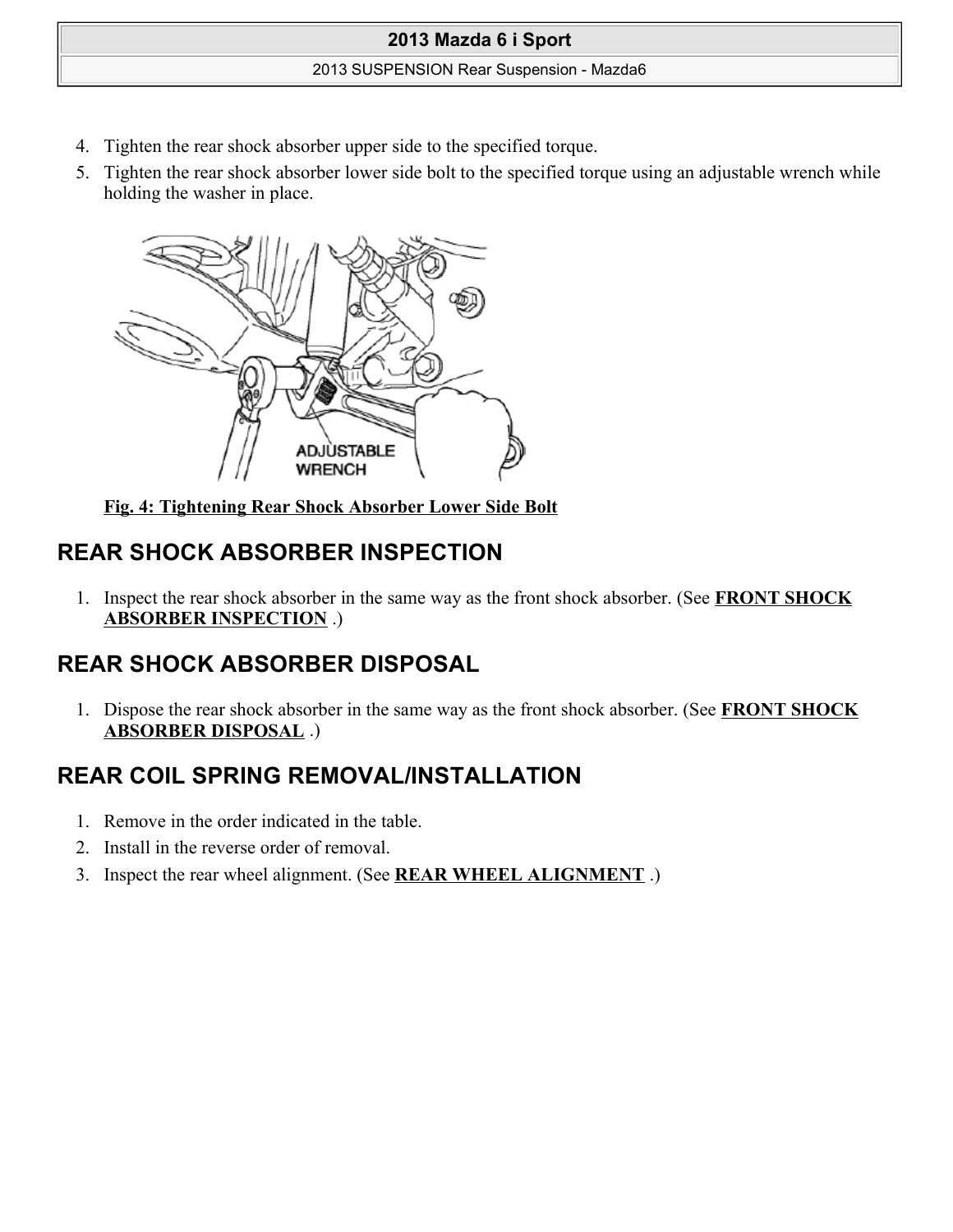### 2013 SUSPENSION Rear Suspension - Mazda6

- 4. Tighten the rear shock absorber upper side to the specified torque.
- 5. Tighten the rear shock absorber lower side bolt to the specified torque using an adjustable wrench while holding the washer in place.



**Fig. 4: Tightening Rear Shock Absorber Lower Side Bolt**

# **REAR SHOCK ABSORBER INSPECTION**

1. Inspect the rear shock absorber in the same way as the front shock absorber. (See **FRONT SHOCK ABSORBER INSPECTION** .)

# **REAR SHOCK ABSORBER DISPOSAL**

1. Dispose the rear shock absorber in the same way as the front shock absorber. (See **FRONT SHOCK ABSORBER DISPOSAL** .)

# **REAR COIL SPRING REMOVAL/INSTALLATION**

- 1. Remove in the order indicated in the table.
- 2. Install in the reverse order of removal.
- 3. Inspect the rear wheel alignment. (See **REAR WHEEL ALIGNMENT** .)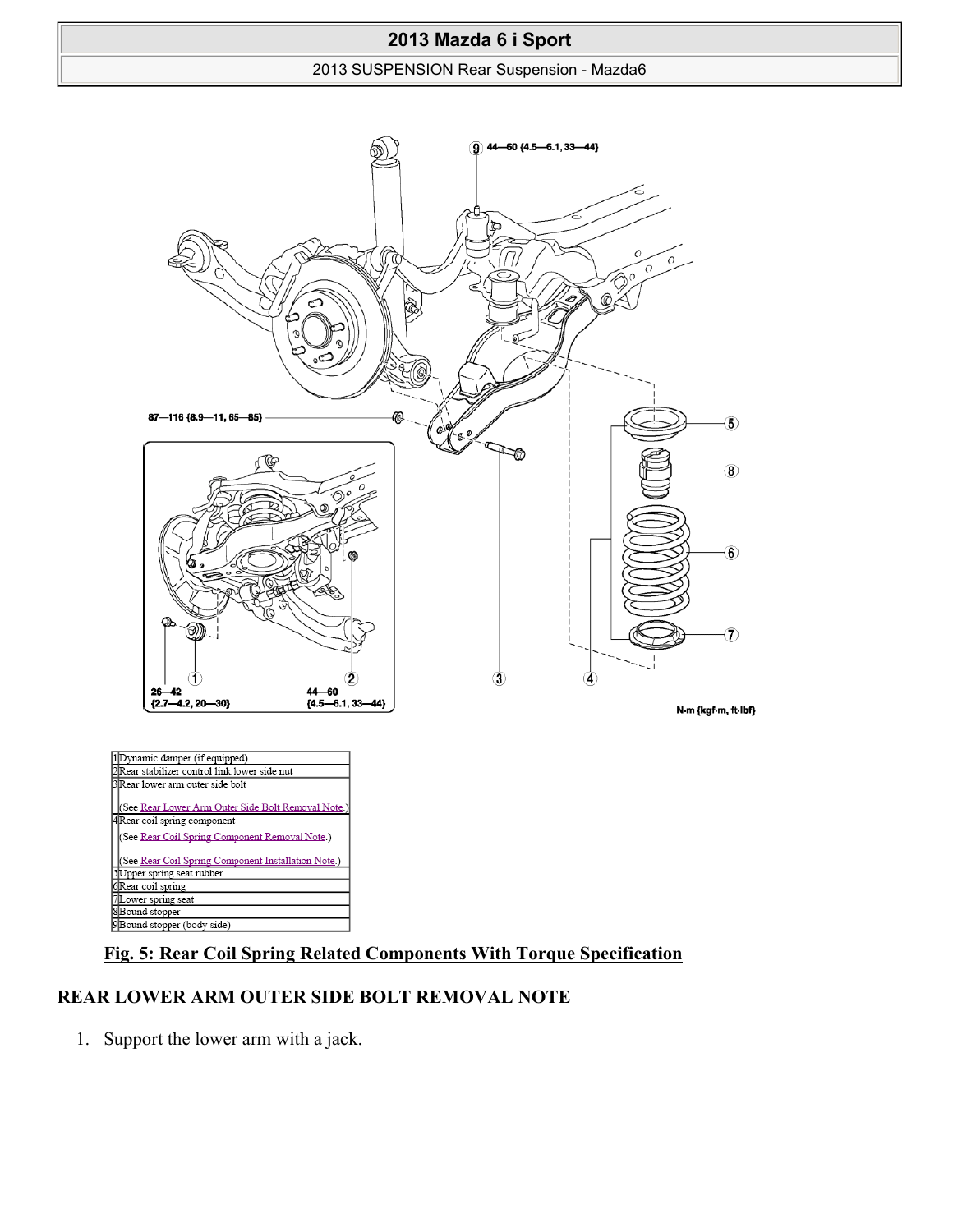#### 2013 SUSPENSION Rear Suspension - Mazda6



## **Fig. 5: Rear Coil Spring Related Components With Torque Specification**

### **REAR LOWER ARM OUTER SIDE BOLT REMOVAL NOTE**

1. Support the lower arm with a jack.

7Lower spring seat 8<br>Bound stopper<br>9<br>Bound stopper (body side)